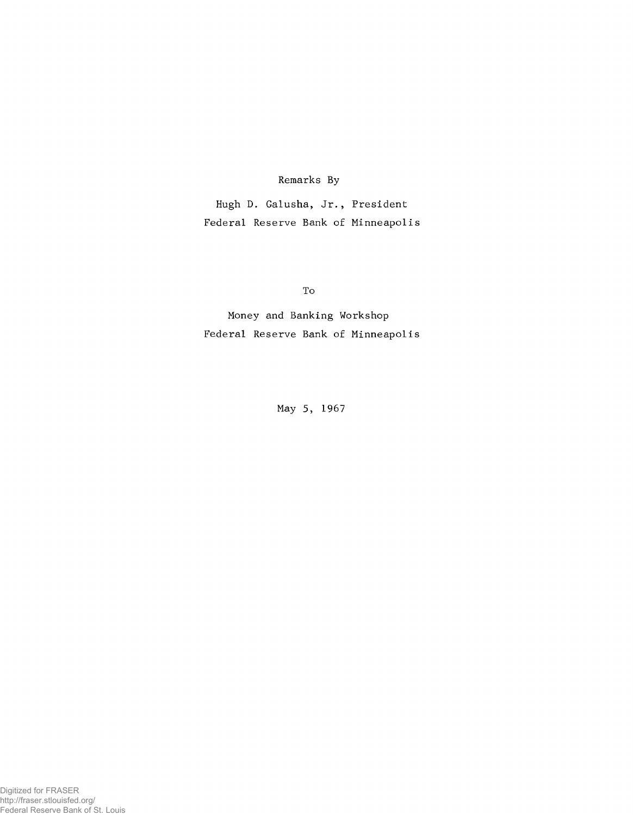## Remarks By

Hugh D. Galusha, Jr., President Federal Reserve Bank of Minneapolis

To

Money and Banking Workshop Federal Reserve Bank of Minneapolis

May 5, 1967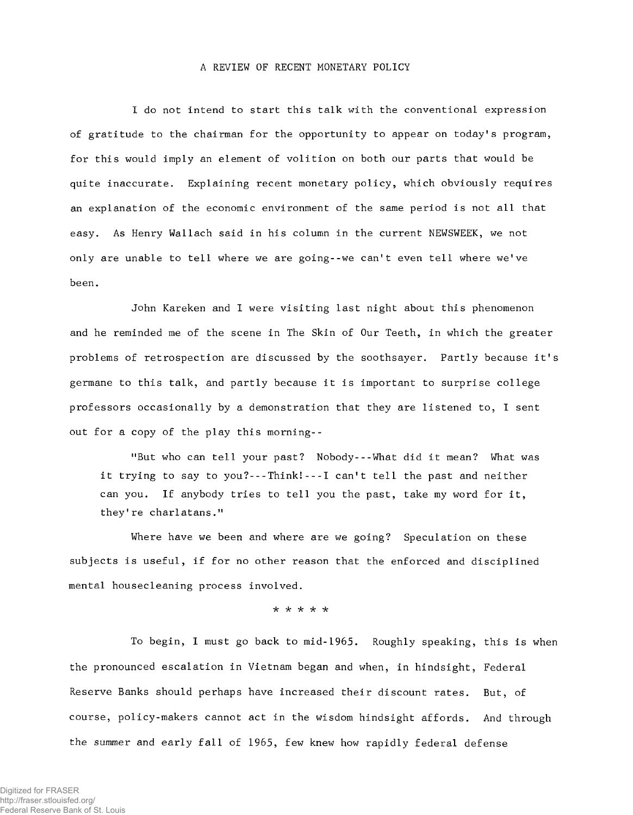## A REVIEW OF RECENT MONETARY POLICY

I do not intend to start this talk with the conventional expression of gratitude to the chairman for the opportunity to appear on today's program, for this would imply an element of volition on both our parts that would be quite inaccurate. Explaining recent monetary policy, which obviously requires an explanation of the economic environment of the same period is not all that easy. As Henry Wallach said in his column in the current NEWSWEEK, we not only are unable to tell where we are going--we can't even tell where we've been.

John Kareken and I were visiting last night about this phenomenon and he reminded me of the scene in The Skin of Our Teeth, in which the greater problems of retrospection are discussed by the soothsayer. Partly because it's germane to this talk, and partly because it is important to surprise college professors occasionally by a demonstration that they are listened to, I sent out for a copy of the play this morning--

"But who can tell your past? Nobody--What did it mean? What was it trying to say to you?--Think!-- 1 can't tell the past and neither can you. If anybody tries to tell you the past, take my word for it, they're charlatans."

Where have we been and where are we going? Speculation on these subjects is useful, if for no other reason that the enforced and disciplined mental housecleaning process involved.

*■k -k -k "k "k*

To begin, I must go back to mid-1965. Roughly speaking, this is when the pronounced escalation in Vietnam began and when, in hindsight, Federal Reserve Banks should perhaps have increased their discount rates. But, of course, policy-makers cannot act in the wisdom hindsight affords. And through the summer and early fall of 1965, few knew how rapidly federal defense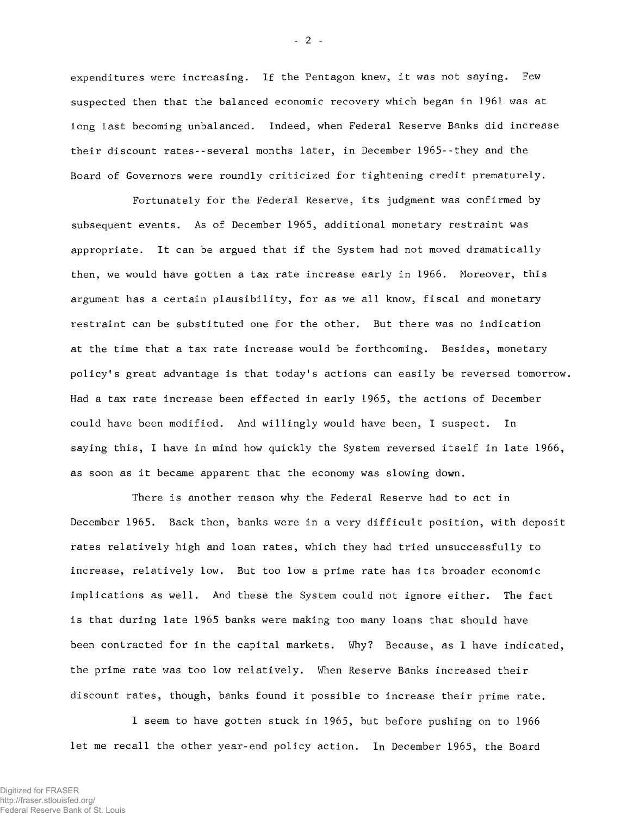expenditures were increasing. If the Pentagon knew, it was not saying. Few suspected then that the balanced economic recovery which began in 1961 was at long last becoming unbalanced. Indeed, when Federal Reserve Banks did increase their discount rates-- several months later, in December 1965--they and the Board of Governors were roundly criticized for tightening credit prematurely.

Fortunately for the Federal Reserve, its judgment was confirmed by subsequent events. As of December 1965, additional monetary restraint was appropriate. It can be argued that if the System had not moved dramatically then, we would have gotten a tax rate increase early in 1966. Moreover, this argument has a certain plausibility, for as we all know, fiscal and monetary restraint can be substituted one for the other. But there was no indication at the time that a tax rate increase would be forthcoming. Besides, monetary policy's great advantage is that today's actions can easily be reversed tomorrow. Had a tax rate increase been effected in early 1965, the actions of December could have been modified. And willingly would have been, I suspect. In saying this, I have in mind how quickly the System reversed itself in late 1966, as soon as it became apparent that the economy was slowing down.

There is another reason why the Federal Reserve had to act in December 1965. Back then, banks were in a very difficult position, with deposit rates relatively high and loan rates, which they had tried unsuccessfully to increase, relatively low. But too low a prime rate has its broader economic implications as well. And these the System could not ignore either. The fact is that during late 1965 banks were making too many loans that should have been contracted for in the capital markets. Why? Because, as I have indicated, the prime rate was too low relatively. When Reserve Banks increased their discount rates, though, banks found it possible to increase their prime rate.

I seem to have gotten stuck in 1965, but before pushing on to 1966 let me recall the other year-end policy action. In December 1965, the Board

- 2 -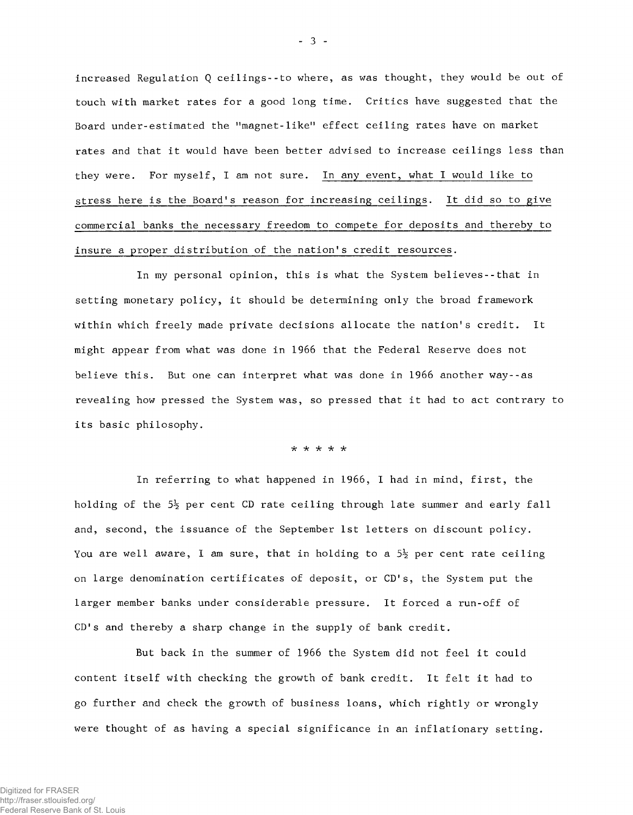increased Regulation Q ceilings--to where, as was thought, they would be out of touch with market rates for a good long time. Critics have suggested that the Board under-estimated the ''magnet-like" effect ceiling rates have on market rates and that it would have been better advised to increase ceilings less than they were. For myself, I am not sure. In any event, what I would like to stress here is the Board's reason for increasing ceilings. It did so to give commercial banks the necessary freedom to compete for deposits and thereby to insure a proper distribution of the nation's credit resources.

In my personal opinion, this is what the System believes-- that in setting monetary policy, it should be determining only the broad framework within which freely made private decisions allocate the nation's credit. It might appear from what was done in 1966 that the Federal Reserve does not believe this. But one can interpret what was done in 1966 another way--as revealing how pressed the System was, so pressed that it had to act contrary to its basic philosophy.

*-k -k -k "k -k*

In referring to what happened in 1966, I had in mind, first, the holding of the  $5\frac{1}{2}$  per cent CD rate ceiling through late summer and early fall and, second, the issuance of the September 1st letters on discount policy. You are well aware, I am sure, that in holding to a  $5\frac{1}{2}$  per cent rate ceiling on large denomination certificates of deposit, or CD's, the System put the larger member banks under considerable pressure. It forced a run-off of CD's and thereby a sharp change in the supply of bank credit.

But back in the summer of 1966 the System did not feel it could content itself with checking the growth of bank credit. It felt it had to go further and check the growth of business loans, which rightly or wrongly were thought of as having a special significance in an inflationary setting.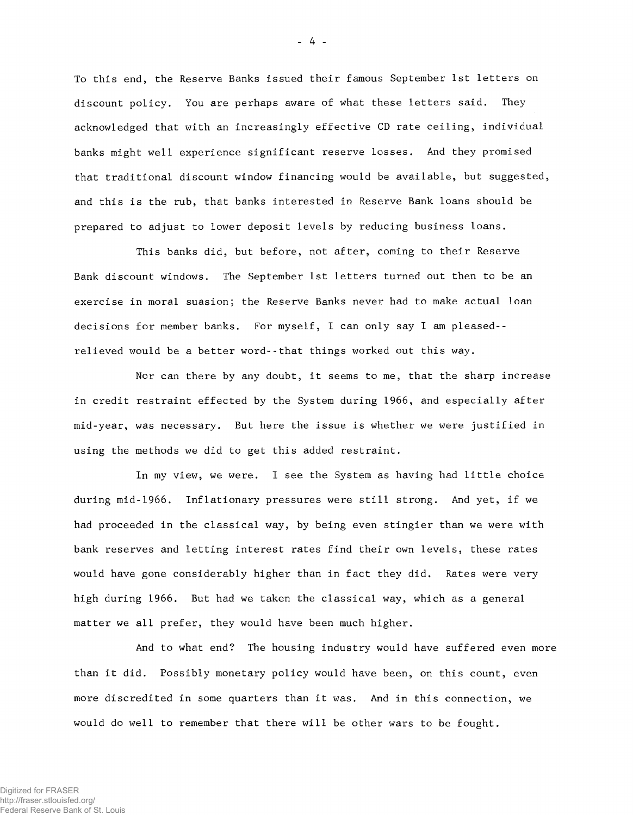To this end, the Reserve Banks issued their famous September 1st letters on discount policy. You are perhaps aware of what these letters said. They acknowledged that with an increasingly effective CD rate ceiling, individual banks might well experience significant reserve losses. And they promised that traditional discount window financing would be available, but suggested, and this is the rub, that banks interested in Reserve Bank loans should be prepared to adjust to lower deposit levels by reducing business loans.

This banks did, but before, not after, coming to their Reserve Bank discount windows. The September 1st letters turned out then to be an exercise in moral suasion; the Reserve Banks never had to make actual loan decisions for member banks. For myself, I can only say I am pleased- relieved would be a better word--that things worked out this way.

Nor can there by any doubt, it seems to me, that the sharp increase in credit restraint effected by the System during 1966, and especially after mid-year, was necessary. But here the issue is whether we were justified in using the methods we did to get this added restraint.

In my view, we were. I see the System as having had little choice during mid-1966. Inflationary pressures were still strong. And yet, if we had proceeded in the classical way, by being even stingier than we were with bank reserves and letting interest rates find their own levels, these rates would have gone considerably higher than in fact they did. Rates were very high during 1966. But had we taken the classical way, which as a general matter we all prefer, they would have been much higher.

And to what end? The housing industry would have suffered even more than it did. Possibly monetary policy would have been, on this count, even more discredited in some quarters than it was. And in this connection, we would do well to remember that there will be other wars to be fought.

- 4 -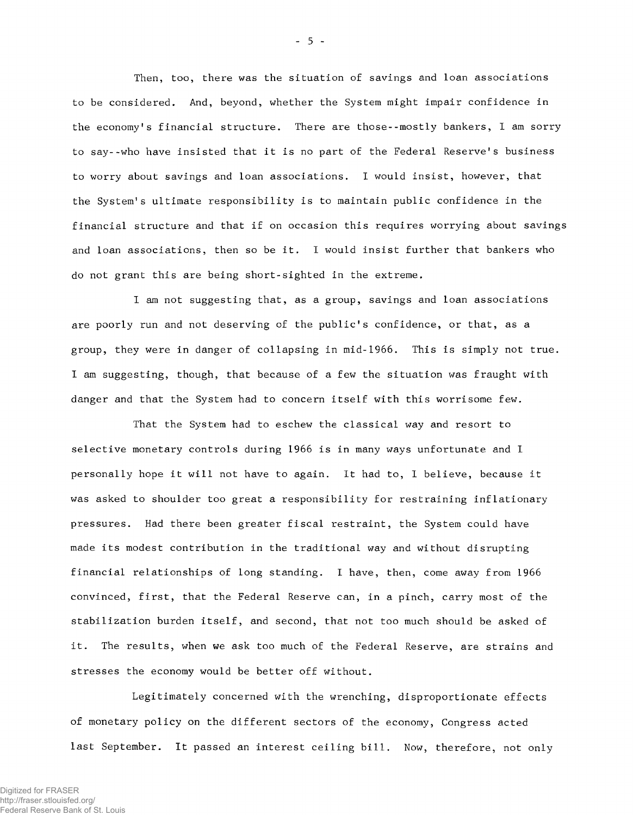Then, too, there was the situation of savings and loan associations to be considered. And, beyond, whether the System might impair confidence in the economy's financial structure. There are those--mostly bankers, I am sorry to say--who have insisted that it is no part of the Federal Reserve's business to worry about savings and loan associations. I would insist, however, that the System's ultimate responsibility is to maintain public confidence in the financial structure and that if on occasion this requires worrying about savings and loan associations, then so be it. I would insist further that bankers who do not grant this are being short-sighted in the extreme.

I am not suggesting that, as a group, savings and loan associations are poorly run and not deserving of the public's confidence, or that, as a group, they were in danger of collapsing in mid-1966. This is simply not true. I am suggesting, though, that because of a few the situation was fraught with danger and that the System had to concern itself with this worrisome few.

That the System had to eschew the classical way and resort to selective monetary controls during 1966 is in many ways unfortunate and I personally hope it will not have to again. It had to, I believe, because it was asked to shoulder too great a responsibility for restraining inflationary pressures. Had there been greater fiscal restraint, the System could have made its modest contribution in the traditional way and without disrupting financial relationships of long standing. I have, then, come away from 1966 convinced, first, that the Federal Reserve can, in a pinch, carry most of the stabilization burden itself, and second, that not too much should be asked of it. The results, when we ask too much of the Federal Reserve, are strains and stresses the economy would be better off without.

Legitimately concerned with the wrenching, disproportionate effects of monetary policy on the different sectors of the economy, Congress acted last September. It passed an interest ceiling bill. Now, therefore, not only

- 5 -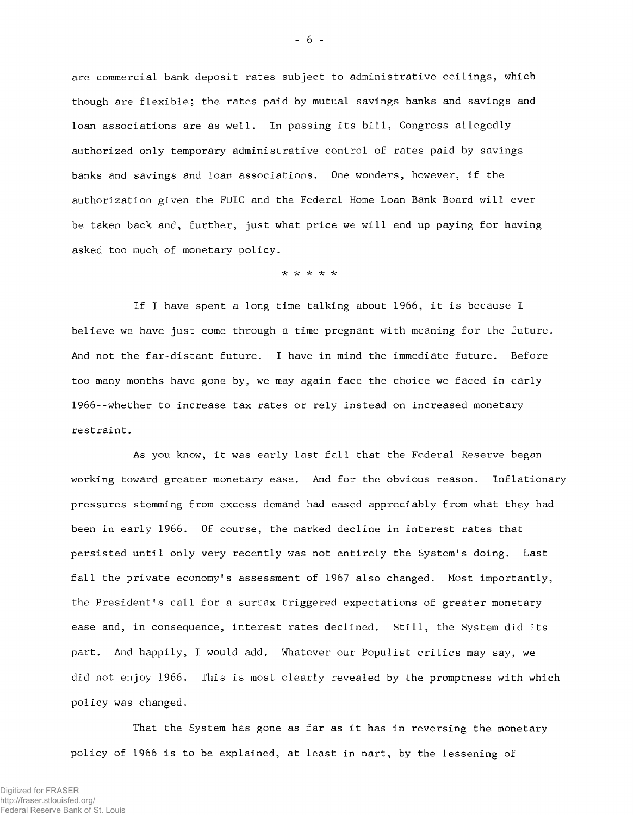are commercial bank deposit rates subject to administrative ceilings, which though are flexible; the rates paid by mutual savings banks and savings and loan associations are as well. In passing its bill, Congress allegedly authorized only temporary administrative control of rates paid by savings banks and savings and loan associations. One wonders, however, if the authorization given the FDIC and the Federal Home Loan Bank Board will ever be taken back and, further, just what price we will end up paying for having asked too much of monetary policy.

*-k -k -k*

If I have spent a long time talking about 1966, it is because I believe we have just come through a time pregnant with meaning for the future. And not the far-distant future. I have in mind the immediate future. Before too many months have gone by, we may again face the choice we faced in early 1966--whether to increase tax rates or rely instead on increased monetary restraint.

As you know, it was early last fall that the Federal Reserve began working toward greater monetary ease. And for the obvious reason. Inflationary pressures stemming from excess demand had eased appreciably from what they had been in early 1966. Of course, the marked decline in interest rates that persisted until only very recently was not entirely the System's doing. Last fall the private economy's assessment of 1967 also changed. Most importantly, the President's call for a surtax triggered expectations of greater monetary ease and, in consequence, interest rates declined. Still, the System did its part. And happily, I would add. Whatever our Populist critics may say, we did not enjoy 1966. This is most clearly revealed by the promptness with which policy was changed,

That the System has gone as far as it has in reversing the monetary policy of 1966 is to be explained, at least in part, by the lessening of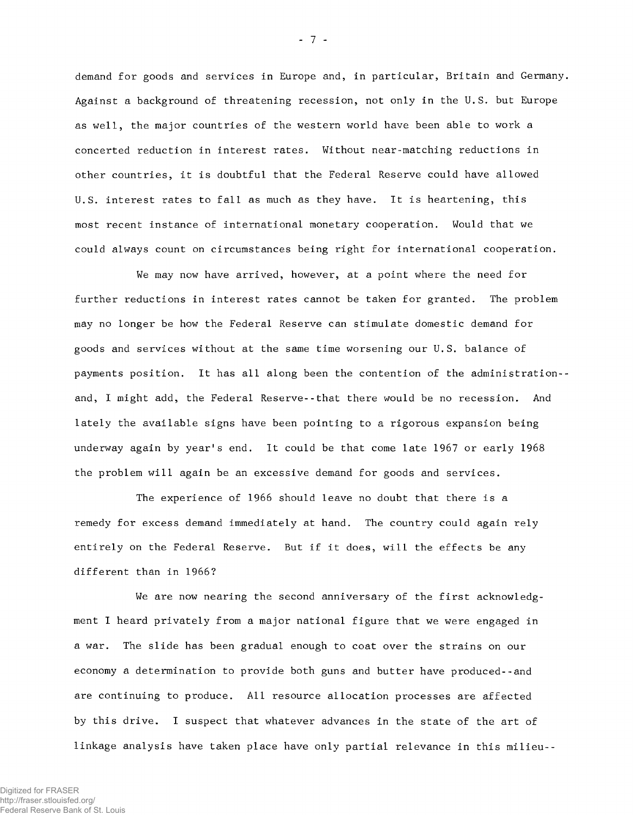demand for goods and services in Europe and, in particular, Britain and Germany. Against a background of threatening recession, not only in the U.S. but Europe as well, the major countries of the western world have been able to work a concerted reduction in interest rates. Without near-matching reductions in other countries, it is doubtful that the Federal Reserve could have allowed U.S. interest rates to fall as much as they have. It is heartening, this most recent instance of international monetary cooperation. Would that we could always count on circumstances being right for international cooperation.

We may now have arrived, however, at a point where the need for further reductions in interest rates cannot be taken for granted. The problem may no longer be how the Federal Reserve can stimulate domestic demand for goods and services without at the same time worsening our U.S. balance of payments position. It has all along been the contention of the administration- and, I might add, the Federal Reserve-- that there would be no recession. And lately the available signs have been pointing to a rigorous expansion being underway again by year's end. It could be that come late 1967 or early 1968 the problem will again be an excessive demand for goods and services.

The experience of 1966 should leave no doubt that there is a remedy for excess demand immediately at hand. The country could again rely entirely on the Federal Reserve. But if it does, will the effects be any different than in 1966?

We are now nearing the second anniversary of the first acknowledgment I heard privately from a major national figure that we were engaged in a war. The slide has been gradual enough to coat over the strains on our economy a determination to provide both guns and butter have produced--and are continuing to produce. All resource allocation processes are affected by this drive. I suspect that whatever advances in the state of the art of linkage analysis have taken place have only partial relevance in this milieu--

- 7 -